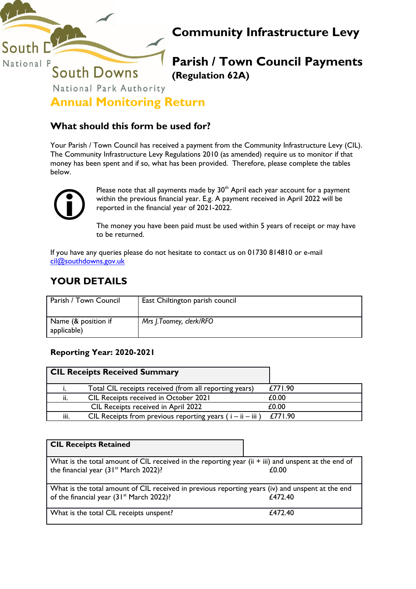

# **Community Infrastructure Levy**

**Parish / Town Council Payments (Regulation 62A)**

**Annual Monitoring Return**

## **What should this form be used for?**

Your Parish / Town Council has received a payment from the Community Infrastructure Levy (CIL). The Community Infrastructure Levy Regulations 2010 (as amended) require us to monitor if that money has been spent and if so, what has been provided. Therefore, please complete the tables below.



Please note that all payments made by  $30<sup>th</sup>$  April each year account for a payment within the previous financial year. E.g. A payment received in April 2022 will be reported in the financial year of 2021-2022.

The money you have been paid must be used within 5 years of receipt or may have to be returned.

If you have any queries please do not hesitate to contact us on 01730 814810 or e-mail [cil@southdowns.gov.uk](mailto:cil@southdowns.gov.uk)

# **YOUR DETAILS**

| Parish / Town Council              | East Chiltington parish council |
|------------------------------------|---------------------------------|
| Name (& position if<br>applicable) | Mrs J.Toomey, clerk/RFO         |

## **Reporting Year: 2020-2021**

|      | <b>CIL Receipts Received Summary</b>                          |         |
|------|---------------------------------------------------------------|---------|
|      | Total CIL receipts received (from all reporting years)        | £771.90 |
| ii.  | <b>CIL Receipts received in October 2021</b>                  | £0.00   |
|      | CIL Receipts received in April 2022                           | £0.00   |
| iii. | CIL Receipts from previous reporting years ( $i - ii - iii$ ) | £771.90 |

| <b>CIL Receipts Retained</b>                                                                                                                             |         |
|----------------------------------------------------------------------------------------------------------------------------------------------------------|---------|
| What is the total amount of CIL received in the reporting year (ii + iii) and unspent at the end of<br>the financial year (31 <sup>st</sup> March 2022)? | £0.00   |
| What is the total amount of CIL received in previous reporting years (iv) and unspent at the end<br>of the financial year (31 <sup>st</sup> March 2022)? | £472.40 |
| What is the total CIL receipts unspent?                                                                                                                  | £472.40 |